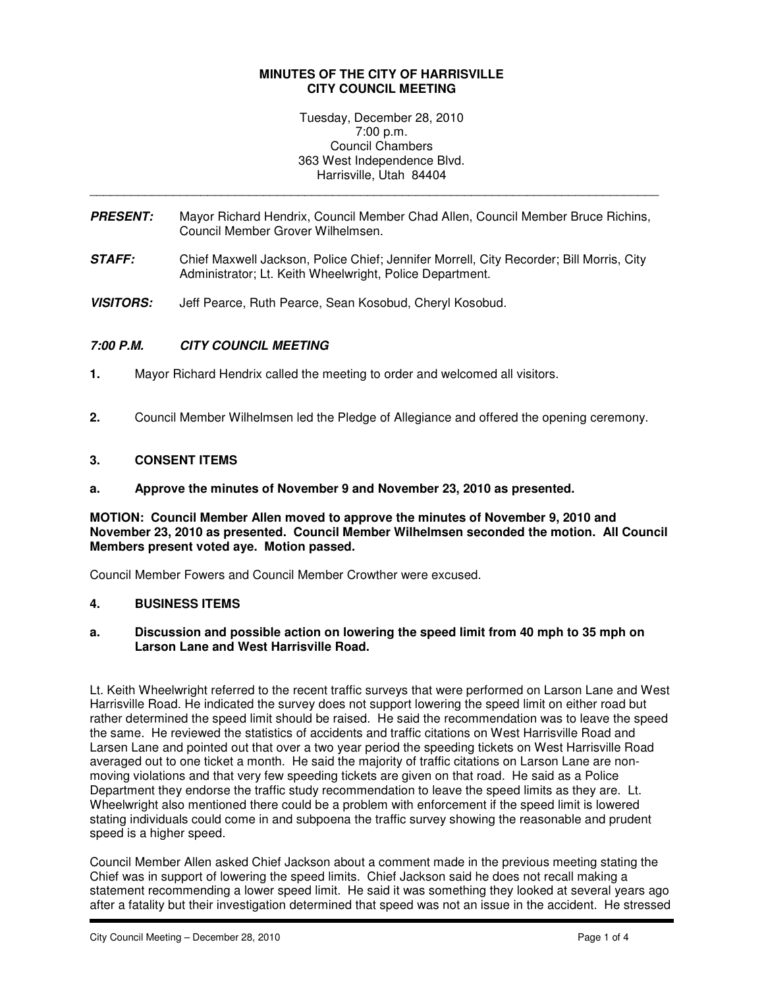## **MINUTES OF THE CITY OF HARRISVILLE CITY COUNCIL MEETING**

Tuesday, December 28, 2010 7:00 p.m. Council Chambers 363 West Independence Blvd. Harrisville, Utah 84404

**PRESENT:** Mayor Richard Hendrix, Council Member Chad Allen, Council Member Bruce Richins, Council Member Grover Wilhelmsen.

\_\_\_\_\_\_\_\_\_\_\_\_\_\_\_\_\_\_\_\_\_\_\_\_\_\_\_\_\_\_\_\_\_\_\_\_\_\_\_\_\_\_\_\_\_\_\_\_\_\_\_\_\_\_\_\_\_\_\_\_\_\_\_\_\_\_\_\_\_\_\_\_\_\_\_\_\_\_\_\_\_\_

- **STAFF:** Chief Maxwell Jackson, Police Chief; Jennifer Morrell, City Recorder; Bill Morris, City Administrator; Lt. Keith Wheelwright, Police Department.
- **VISITORS:** Jeff Pearce, Ruth Pearce, Sean Kosobud, Cheryl Kosobud.

# **7:00 P.M. CITY COUNCIL MEETING**

- **1.** Mayor Richard Hendrix called the meeting to order and welcomed all visitors.
- **2.** Council Member Wilhelmsen led the Pledge of Allegiance and offered the opening ceremony.

## **3. CONSENT ITEMS**

#### **a. Approve the minutes of November 9 and November 23, 2010 as presented.**

**MOTION: Council Member Allen moved to approve the minutes of November 9, 2010 and November 23, 2010 as presented. Council Member Wilhelmsen seconded the motion. All Council Members present voted aye. Motion passed.** 

Council Member Fowers and Council Member Crowther were excused.

### **4. BUSINESS ITEMS**

#### **a. Discussion and possible action on lowering the speed limit from 40 mph to 35 mph on Larson Lane and West Harrisville Road.**

Lt. Keith Wheelwright referred to the recent traffic surveys that were performed on Larson Lane and West Harrisville Road. He indicated the survey does not support lowering the speed limit on either road but rather determined the speed limit should be raised. He said the recommendation was to leave the speed the same. He reviewed the statistics of accidents and traffic citations on West Harrisville Road and Larsen Lane and pointed out that over a two year period the speeding tickets on West Harrisville Road averaged out to one ticket a month. He said the majority of traffic citations on Larson Lane are nonmoving violations and that very few speeding tickets are given on that road. He said as a Police Department they endorse the traffic study recommendation to leave the speed limits as they are. Lt. Wheelwright also mentioned there could be a problem with enforcement if the speed limit is lowered stating individuals could come in and subpoena the traffic survey showing the reasonable and prudent speed is a higher speed.

Council Member Allen asked Chief Jackson about a comment made in the previous meeting stating the Chief was in support of lowering the speed limits. Chief Jackson said he does not recall making a statement recommending a lower speed limit. He said it was something they looked at several years ago after a fatality but their investigation determined that speed was not an issue in the accident. He stressed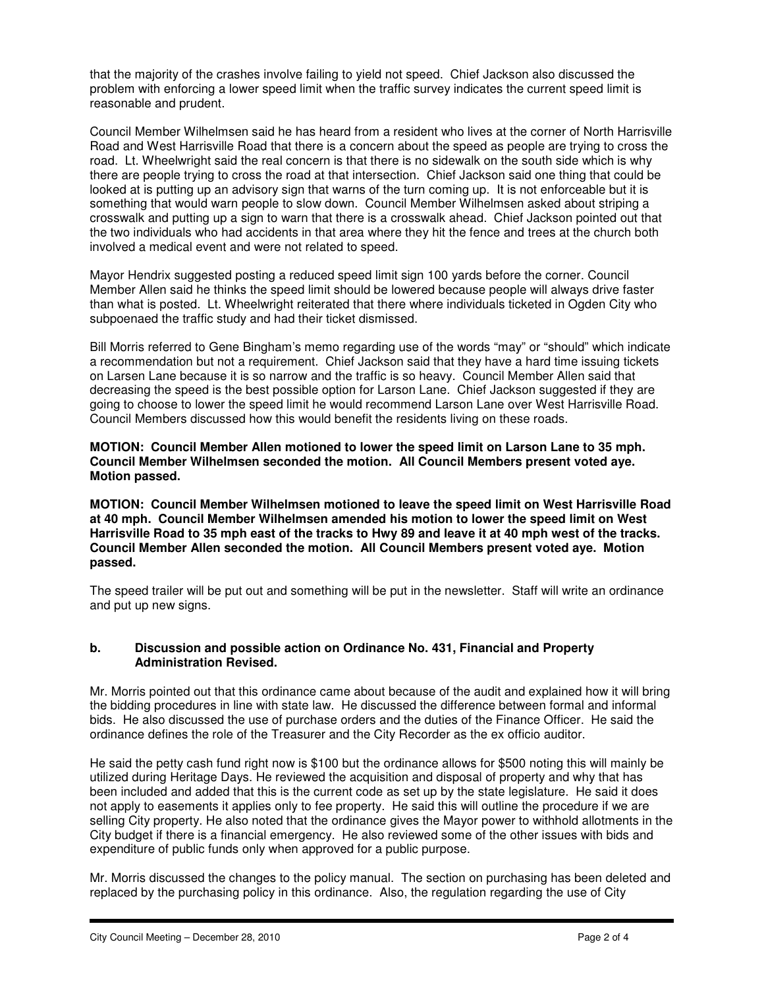that the majority of the crashes involve failing to yield not speed. Chief Jackson also discussed the problem with enforcing a lower speed limit when the traffic survey indicates the current speed limit is reasonable and prudent.

Council Member Wilhelmsen said he has heard from a resident who lives at the corner of North Harrisville Road and West Harrisville Road that there is a concern about the speed as people are trying to cross the road. Lt. Wheelwright said the real concern is that there is no sidewalk on the south side which is why there are people trying to cross the road at that intersection. Chief Jackson said one thing that could be looked at is putting up an advisory sign that warns of the turn coming up. It is not enforceable but it is something that would warn people to slow down. Council Member Wilhelmsen asked about striping a crosswalk and putting up a sign to warn that there is a crosswalk ahead. Chief Jackson pointed out that the two individuals who had accidents in that area where they hit the fence and trees at the church both involved a medical event and were not related to speed.

Mayor Hendrix suggested posting a reduced speed limit sign 100 yards before the corner. Council Member Allen said he thinks the speed limit should be lowered because people will always drive faster than what is posted. Lt. Wheelwright reiterated that there where individuals ticketed in Ogden City who subpoenaed the traffic study and had their ticket dismissed.

Bill Morris referred to Gene Bingham's memo regarding use of the words "may" or "should" which indicate a recommendation but not a requirement. Chief Jackson said that they have a hard time issuing tickets on Larsen Lane because it is so narrow and the traffic is so heavy. Council Member Allen said that decreasing the speed is the best possible option for Larson Lane. Chief Jackson suggested if they are going to choose to lower the speed limit he would recommend Larson Lane over West Harrisville Road. Council Members discussed how this would benefit the residents living on these roads.

**MOTION: Council Member Allen motioned to lower the speed limit on Larson Lane to 35 mph. Council Member Wilhelmsen seconded the motion. All Council Members present voted aye. Motion passed.** 

**MOTION: Council Member Wilhelmsen motioned to leave the speed limit on West Harrisville Road at 40 mph. Council Member Wilhelmsen amended his motion to lower the speed limit on West Harrisville Road to 35 mph east of the tracks to Hwy 89 and leave it at 40 mph west of the tracks. Council Member Allen seconded the motion. All Council Members present voted aye. Motion passed.** 

The speed trailer will be put out and something will be put in the newsletter. Staff will write an ordinance and put up new signs.

# **b. Discussion and possible action on Ordinance No. 431, Financial and Property Administration Revised.**

Mr. Morris pointed out that this ordinance came about because of the audit and explained how it will bring the bidding procedures in line with state law. He discussed the difference between formal and informal bids. He also discussed the use of purchase orders and the duties of the Finance Officer. He said the ordinance defines the role of the Treasurer and the City Recorder as the ex officio auditor.

He said the petty cash fund right now is \$100 but the ordinance allows for \$500 noting this will mainly be utilized during Heritage Days. He reviewed the acquisition and disposal of property and why that has been included and added that this is the current code as set up by the state legislature. He said it does not apply to easements it applies only to fee property. He said this will outline the procedure if we are selling City property. He also noted that the ordinance gives the Mayor power to withhold allotments in the City budget if there is a financial emergency. He also reviewed some of the other issues with bids and expenditure of public funds only when approved for a public purpose.

Mr. Morris discussed the changes to the policy manual. The section on purchasing has been deleted and replaced by the purchasing policy in this ordinance. Also, the regulation regarding the use of City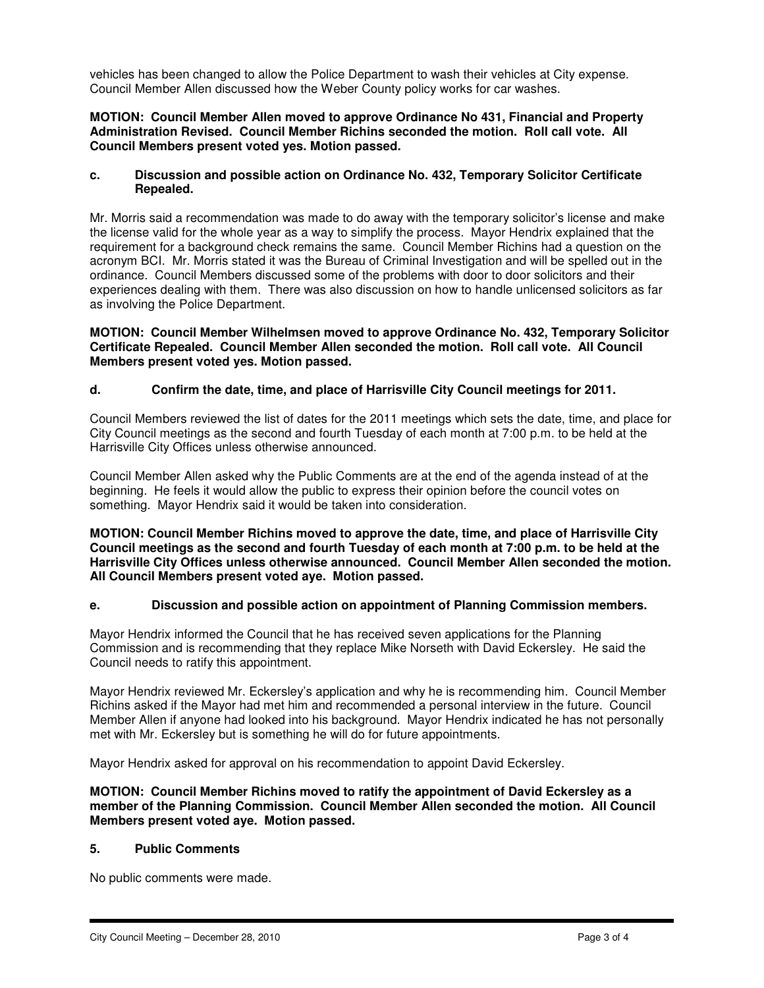vehicles has been changed to allow the Police Department to wash their vehicles at City expense. Council Member Allen discussed how the Weber County policy works for car washes.

## **MOTION: Council Member Allen moved to approve Ordinance No 431, Financial and Property Administration Revised. Council Member Richins seconded the motion. Roll call vote. All Council Members present voted yes. Motion passed.**

### **c. Discussion and possible action on Ordinance No. 432, Temporary Solicitor Certificate Repealed.**

Mr. Morris said a recommendation was made to do away with the temporary solicitor's license and make the license valid for the whole year as a way to simplify the process. Mayor Hendrix explained that the requirement for a background check remains the same. Council Member Richins had a question on the acronym BCI. Mr. Morris stated it was the Bureau of Criminal Investigation and will be spelled out in the ordinance. Council Members discussed some of the problems with door to door solicitors and their experiences dealing with them. There was also discussion on how to handle unlicensed solicitors as far as involving the Police Department.

### **MOTION: Council Member Wilhelmsen moved to approve Ordinance No. 432, Temporary Solicitor Certificate Repealed. Council Member Allen seconded the motion. Roll call vote. All Council Members present voted yes. Motion passed.**

## **d. Confirm the date, time, and place of Harrisville City Council meetings for 2011.**

Council Members reviewed the list of dates for the 2011 meetings which sets the date, time, and place for City Council meetings as the second and fourth Tuesday of each month at 7:00 p.m. to be held at the Harrisville City Offices unless otherwise announced.

Council Member Allen asked why the Public Comments are at the end of the agenda instead of at the beginning. He feels it would allow the public to express their opinion before the council votes on something. Mayor Hendrix said it would be taken into consideration.

**MOTION: Council Member Richins moved to approve the date, time, and place of Harrisville City Council meetings as the second and fourth Tuesday of each month at 7:00 p.m. to be held at the Harrisville City Offices unless otherwise announced. Council Member Allen seconded the motion. All Council Members present voted aye. Motion passed.** 

## **e. Discussion and possible action on appointment of Planning Commission members.**

Mayor Hendrix informed the Council that he has received seven applications for the Planning Commission and is recommending that they replace Mike Norseth with David Eckersley. He said the Council needs to ratify this appointment.

Mayor Hendrix reviewed Mr. Eckersley's application and why he is recommending him. Council Member Richins asked if the Mayor had met him and recommended a personal interview in the future. Council Member Allen if anyone had looked into his background. Mayor Hendrix indicated he has not personally met with Mr. Eckersley but is something he will do for future appointments.

Mayor Hendrix asked for approval on his recommendation to appoint David Eckersley.

#### **MOTION: Council Member Richins moved to ratify the appointment of David Eckersley as a member of the Planning Commission. Council Member Allen seconded the motion. All Council Members present voted aye. Motion passed.**

#### **5. Public Comments**

No public comments were made.